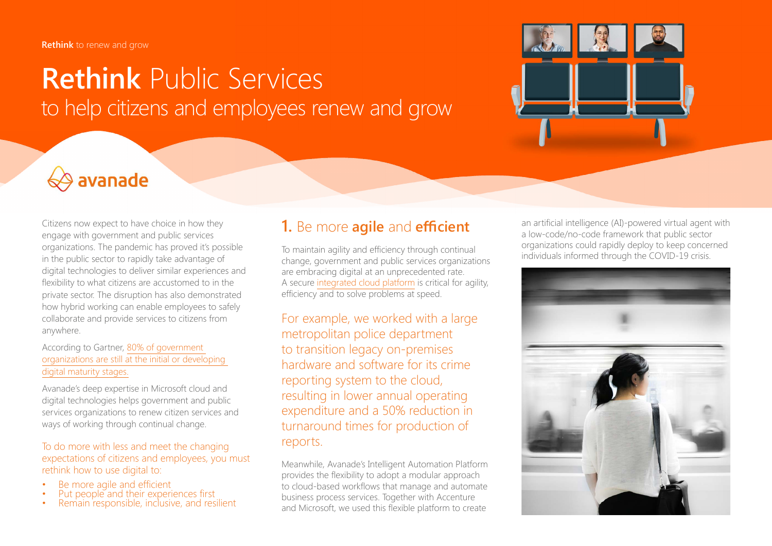# **Rethink** Public Services to help citizens and employees renew and grow



# $\leftrightarrow$  avanade

Citizens now expect to have choice in how they engage with government and public services organizations. The pandemic has proved it's possible in the public sector to rapidly take advantage of digital technologies to deliver similar experiences and flexibility to what citizens are accustomed to in the private sector. The disruption has also demonstrated how hybrid working can enable employees to safely collaborate and provide services to citizens from anywhere.

#### According to Gartner, [80% of government](https://www.gartner.com/en/industries/government-public-sector)  [organizations are still at the initial or developing](https://www.gartner.com/en/industries/government-public-sector)  [digital maturity stages.](https://www.gartner.com/en/industries/government-public-sector)

Avanade's deep expertise in Microsoft cloud and digital technologies helps government and public services organizations to renew citizen services and ways of working through continual change.

#### To do more with less and meet the changing expectations of citizens and employees, you must rethink how to use digital to:

- 
- Be more agile and efficient<br>
 Put people and their experiences first<br>
Remain responsible, inclusive, and resilient
- 

## **1.** Be more **agile** and **efficient**

To maintain agility and efficiency through continual change, government and public services organizations are embracing digital at an unprecedented rate. A secure [integrated cloud platform](https://www.avanade.com/en/solutions/cloud-and-application-services) is critical for agility, efficiency and to solve problems at speed.

For example, we worked with a large metropolitan police department to transition legacy on-premises hardware and software for its crime reporting system to the cloud, resulting in lower annual operating expenditure and a 50% reduction in turnaround times for production of reports.

Meanwhile, Avanade's Intelligent Automation Platform provides the flexibility to adopt a modular approach to cloud-based workflows that manage and automate business process services. Together with Accenture and Microsoft, we used this flexible platform to create

an artificial intelligence (AI)-powered virtual agent with a low-code/no-code framework that public sector organizations could rapidly deploy to keep concerned individuals informed through the COVID-19 crisis.